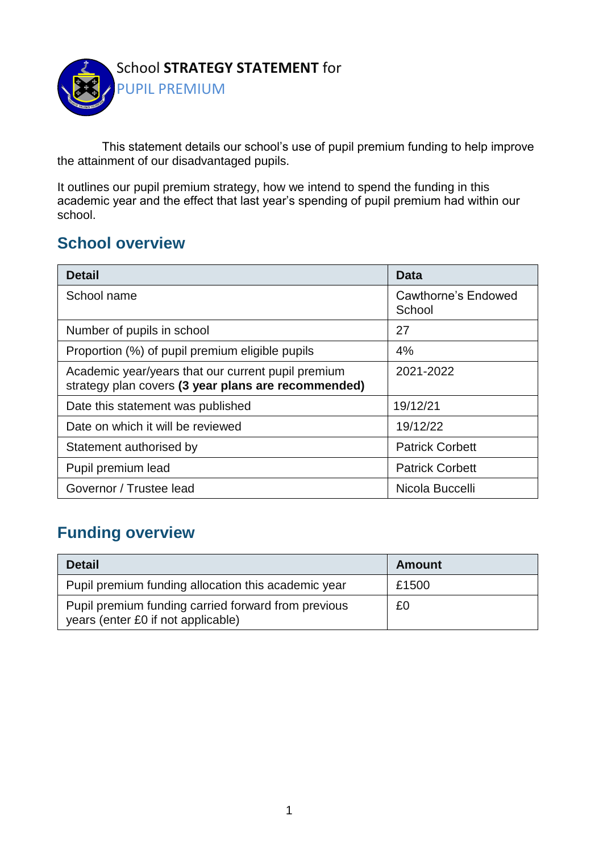

This statement details our school's use of pupil premium funding to help improve the attainment of our disadvantaged pupils.

It outlines our pupil premium strategy, how we intend to spend the funding in this academic year and the effect that last year's spending of pupil premium had within our school.

#### **School overview**

| <b>Detail</b>                                                                                             | Data                          |
|-----------------------------------------------------------------------------------------------------------|-------------------------------|
| School name                                                                                               | Cawthorne's Endowed<br>School |
| Number of pupils in school                                                                                | 27                            |
| Proportion (%) of pupil premium eligible pupils                                                           | 4%                            |
| Academic year/years that our current pupil premium<br>strategy plan covers (3 year plans are recommended) | 2021-2022                     |
| Date this statement was published                                                                         | 19/12/21                      |
| Date on which it will be reviewed                                                                         | 19/12/22                      |
| Statement authorised by                                                                                   | <b>Patrick Corbett</b>        |
| Pupil premium lead                                                                                        | <b>Patrick Corbett</b>        |
| Governor / Trustee lead                                                                                   | Nicola Buccelli               |

#### **Funding overview**

| <b>Detail</b>                                                                             | Amount |
|-------------------------------------------------------------------------------------------|--------|
| Pupil premium funding allocation this academic year                                       | £1500  |
| Pupil premium funding carried forward from previous<br>years (enter £0 if not applicable) | £0     |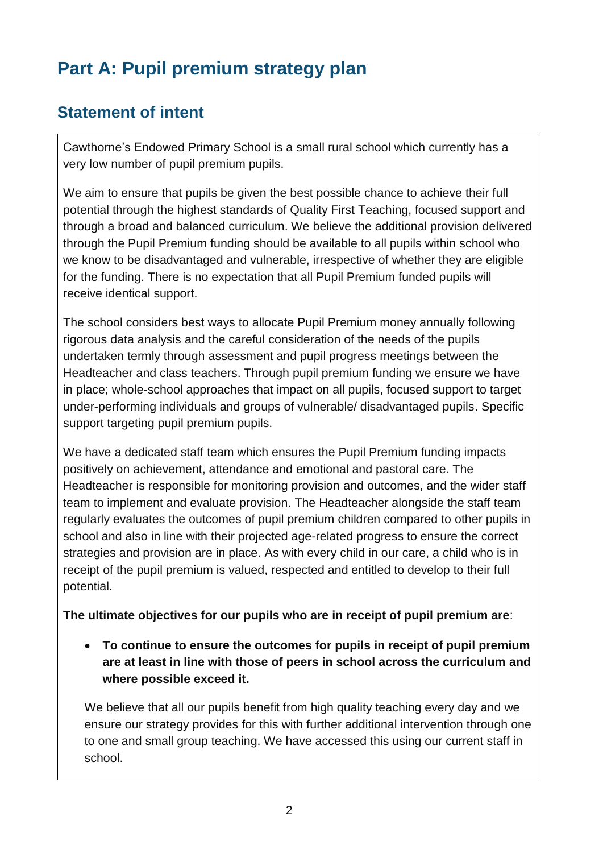# **Part A: Pupil premium strategy plan**

### **Statement of intent**

Cawthorne's Endowed Primary School is a small rural school which currently has a very low number of pupil premium pupils.

We aim to ensure that pupils be given the best possible chance to achieve their full potential through the highest standards of Quality First Teaching, focused support and through a broad and balanced curriculum. We believe the additional provision delivered through the Pupil Premium funding should be available to all pupils within school who we know to be disadvantaged and vulnerable, irrespective of whether they are eligible for the funding. There is no expectation that all Pupil Premium funded pupils will receive identical support.

The school considers best ways to allocate Pupil Premium money annually following rigorous data analysis and the careful consideration of the needs of the pupils undertaken termly through assessment and pupil progress meetings between the Headteacher and class teachers. Through pupil premium funding we ensure we have in place; whole-school approaches that impact on all pupils, focused support to target under-performing individuals and groups of vulnerable/ disadvantaged pupils. Specific support targeting pupil premium pupils.

We have a dedicated staff team which ensures the Pupil Premium funding impacts positively on achievement, attendance and emotional and pastoral care. The Headteacher is responsible for monitoring provision and outcomes, and the wider staff team to implement and evaluate provision. The Headteacher alongside the staff team regularly evaluates the outcomes of pupil premium children compared to other pupils in school and also in line with their projected age-related progress to ensure the correct strategies and provision are in place. As with every child in our care, a child who is in receipt of the pupil premium is valued, respected and entitled to develop to their full potential.

**The ultimate objectives for our pupils who are in receipt of pupil premium are**:

• **To continue to ensure the outcomes for pupils in receipt of pupil premium are at least in line with those of peers in school across the curriculum and where possible exceed it.**

We believe that all our pupils benefit from high quality teaching every day and we ensure our strategy provides for this with further additional intervention through one to one and small group teaching. We have accessed this using our current staff in school.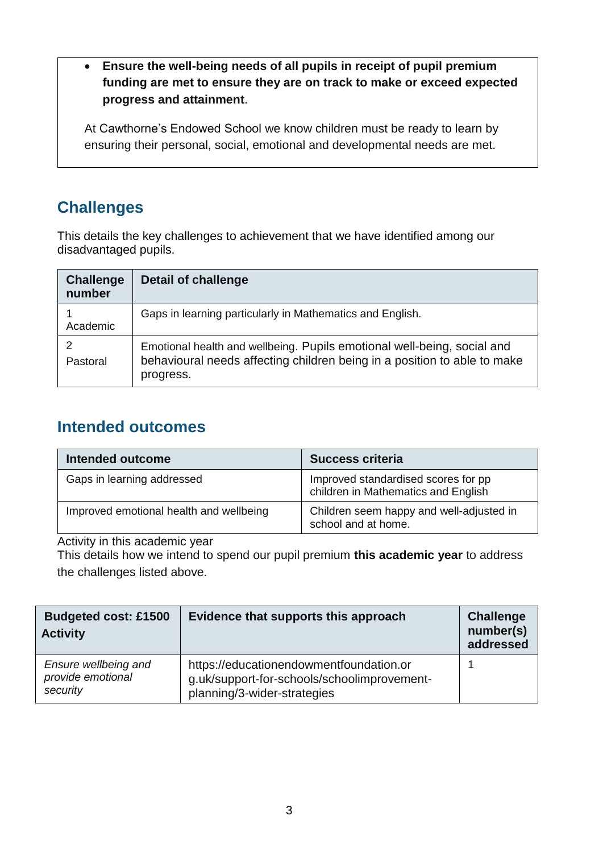• **Ensure the well-being needs of all pupils in receipt of pupil premium funding are met to ensure they are on track to make or exceed expected progress and attainment**.

At Cawthorne's Endowed School we know children must be ready to learn by ensuring their personal, social, emotional and developmental needs are met.

#### **Challenges**

This details the key challenges to achievement that we have identified among our disadvantaged pupils.

| <b>Challenge</b><br>number | <b>Detail of challenge</b>                                                                                                                                       |
|----------------------------|------------------------------------------------------------------------------------------------------------------------------------------------------------------|
| Academic                   | Gaps in learning particularly in Mathematics and English.                                                                                                        |
| Pastoral                   | Emotional health and wellbeing. Pupils emotional well-being, social and<br>behavioural needs affecting children being in a position to able to make<br>progress. |

#### **Intended outcomes**

| <b>Intended outcome</b>                 | <b>Success criteria</b>                                                    |
|-----------------------------------------|----------------------------------------------------------------------------|
| Gaps in learning addressed              | Improved standardised scores for pp<br>children in Mathematics and English |
| Improved emotional health and wellbeing | Children seem happy and well-adjusted in<br>school and at home.            |

Activity in this academic year

This details how we intend to spend our pupil premium **this academic year** to address the challenges listed above.

| <b>Budgeted cost: £1500</b><br><b>Activity</b>        | Evidence that supports this approach                                                                                  | <b>Challenge</b><br>number(s)<br>addressed |
|-------------------------------------------------------|-----------------------------------------------------------------------------------------------------------------------|--------------------------------------------|
| Ensure wellbeing and<br>provide emotional<br>security | https://educationendowmentfoundation.or<br>g.uk/support-for-schools/schoolimprovement-<br>planning/3-wider-strategies |                                            |